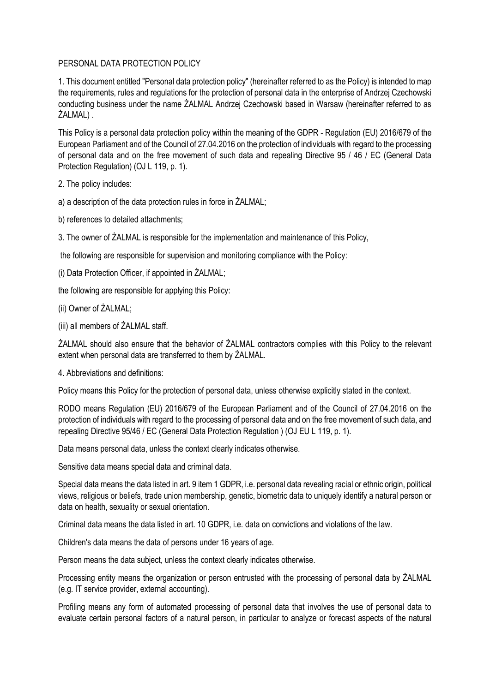# PERSONAL DATA PROTECTION POLICY

1. This document entitled "Personal data protection policy" (hereinafter referred to as the Policy) is intended to map the requirements, rules and regulations for the protection of personal data in the enterprise of Andrzej Czechowski conducting business under the name ŻALMAL Andrzej Czechowski based in Warsaw (hereinafter referred to as ŻALMAL) .

This Policy is a personal data protection policy within the meaning of the GDPR - Regulation (EU) 2016/679 of the European Parliament and of the Council of 27.04.2016 on the protection of individuals with regard to the processing of personal data and on the free movement of such data and repealing Directive 95 / 46 / EC (General Data Protection Regulation) (OJ L 119, p. 1).

2. The policy includes:

- a) a description of the data protection rules in force in ŻALMAL;
- b) references to detailed attachments;

3. The owner of ŻALMAL is responsible for the implementation and maintenance of this Policy,

the following are responsible for supervision and monitoring compliance with the Policy:

(i) Data Protection Officer, if appointed in ŻALMAL;

the following are responsible for applying this Policy:

(ii) Owner of ŻALMAL;

(iii) all members of ŻALMAL staff.

ŻALMAL should also ensure that the behavior of ŻALMAL contractors complies with this Policy to the relevant extent when personal data are transferred to them by ŻALMAL.

4. Abbreviations and definitions:

Policy means this Policy for the protection of personal data, unless otherwise explicitly stated in the context.

RODO means Regulation (EU) 2016/679 of the European Parliament and of the Council of 27.04.2016 on the protection of individuals with regard to the processing of personal data and on the free movement of such data, and repealing Directive 95/46 / EC (General Data Protection Regulation ) (OJ EU L 119, p. 1).

Data means personal data, unless the context clearly indicates otherwise.

Sensitive data means special data and criminal data.

Special data means the data listed in art. 9 item 1 GDPR, i.e. personal data revealing racial or ethnic origin, political views, religious or beliefs, trade union membership, genetic, biometric data to uniquely identify a natural person or data on health, sexuality or sexual orientation.

Criminal data means the data listed in art. 10 GDPR, i.e. data on convictions and violations of the law.

Children's data means the data of persons under 16 years of age.

Person means the data subject, unless the context clearly indicates otherwise.

Processing entity means the organization or person entrusted with the processing of personal data by ŻALMAL (e.g. IT service provider, external accounting).

Profiling means any form of automated processing of personal data that involves the use of personal data to evaluate certain personal factors of a natural person, in particular to analyze or forecast aspects of the natural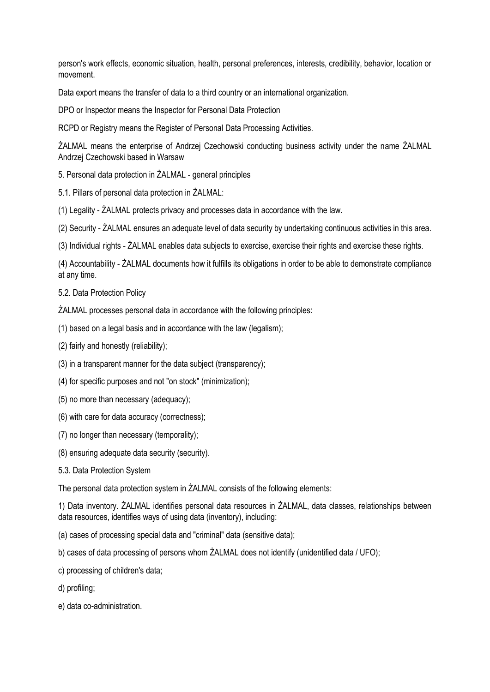person's work effects, economic situation, health, personal preferences, interests, credibility, behavior, location or movement.

Data export means the transfer of data to a third country or an international organization.

DPO or Inspector means the Inspector for Personal Data Protection

RCPD or Registry means the Register of Personal Data Processing Activities.

ŻALMAL means the enterprise of Andrzej Czechowski conducting business activity under the name ŻALMAL Andrzej Czechowski based in Warsaw

5. Personal data protection in ŻALMAL - general principles

5.1. Pillars of personal data protection in ŻALMAL:

(1) Legality - ŻALMAL protects privacy and processes data in accordance with the law.

(2) Security - ŻALMAL ensures an adequate level of data security by undertaking continuous activities in this area.

(3) Individual rights - ŻALMAL enables data subjects to exercise, exercise their rights and exercise these rights.

(4) Accountability - ŻALMAL documents how it fulfills its obligations in order to be able to demonstrate compliance at any time.

5.2. Data Protection Policy

ŻALMAL processes personal data in accordance with the following principles:

- (1) based on a legal basis and in accordance with the law (legalism);
- (2) fairly and honestly (reliability);

(3) in a transparent manner for the data subject (transparency);

- (4) for specific purposes and not "on stock" (minimization);
- (5) no more than necessary (adequacy);
- (6) with care for data accuracy (correctness);
- (7) no longer than necessary (temporality);
- (8) ensuring adequate data security (security).
- 5.3. Data Protection System

The personal data protection system in ŻALMAL consists of the following elements:

1) Data inventory. ŻALMAL identifies personal data resources in ŻALMAL, data classes, relationships between data resources, identifies ways of using data (inventory), including:

(a) cases of processing special data and "criminal" data (sensitive data);

- b) cases of data processing of persons whom ŻALMAL does not identify (unidentified data / UFO);
- c) processing of children's data;
- d) profiling;
- e) data co-administration.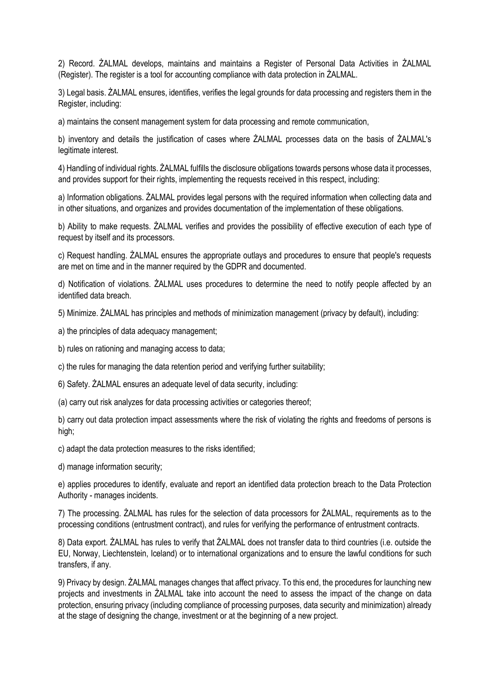2) Record. ŻALMAL develops, maintains and maintains a Register of Personal Data Activities in ŻALMAL (Register). The register is a tool for accounting compliance with data protection in ŻALMAL.

3) Legal basis. ŻALMAL ensures, identifies, verifies the legal grounds for data processing and registers them in the Register, including:

a) maintains the consent management system for data processing and remote communication,

b) inventory and details the justification of cases where ŻALMAL processes data on the basis of ŻALMAL's legitimate interest.

4) Handling of individual rights. ŻALMAL fulfills the disclosure obligations towards persons whose data it processes, and provides support for their rights, implementing the requests received in this respect, including:

a) Information obligations. ŻALMAL provides legal persons with the required information when collecting data and in other situations, and organizes and provides documentation of the implementation of these obligations.

b) Ability to make requests. ŻALMAL verifies and provides the possibility of effective execution of each type of request by itself and its processors.

c) Request handling. ŻALMAL ensures the appropriate outlays and procedures to ensure that people's requests are met on time and in the manner required by the GDPR and documented.

d) Notification of violations. ŻALMAL uses procedures to determine the need to notify people affected by an identified data breach.

5) Minimize. ŻALMAL has principles and methods of minimization management (privacy by default), including:

a) the principles of data adequacy management;

b) rules on rationing and managing access to data;

c) the rules for managing the data retention period and verifying further suitability;

6) Safety. ŻALMAL ensures an adequate level of data security, including:

(a) carry out risk analyzes for data processing activities or categories thereof;

b) carry out data protection impact assessments where the risk of violating the rights and freedoms of persons is high;

c) adapt the data protection measures to the risks identified;

d) manage information security;

e) applies procedures to identify, evaluate and report an identified data protection breach to the Data Protection Authority - manages incidents.

7) The processing. ŻALMAL has rules for the selection of data processors for ŻALMAL, requirements as to the processing conditions (entrustment contract), and rules for verifying the performance of entrustment contracts.

8) Data export. ŻALMAL has rules to verify that ŻALMAL does not transfer data to third countries (i.e. outside the EU, Norway, Liechtenstein, Iceland) or to international organizations and to ensure the lawful conditions for such transfers, if any.

9) Privacy by design. ŻALMAL manages changes that affect privacy. To this end, the procedures for launching new projects and investments in ŻALMAL take into account the need to assess the impact of the change on data protection, ensuring privacy (including compliance of processing purposes, data security and minimization) already at the stage of designing the change, investment or at the beginning of a new project.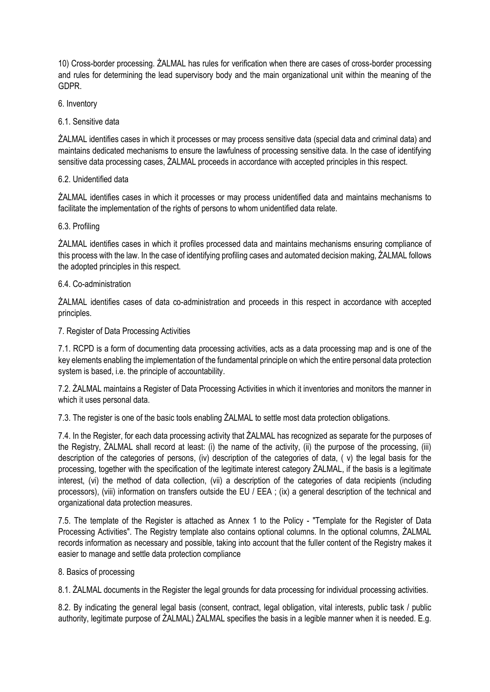10) Cross-border processing. ŻALMAL has rules for verification when there are cases of cross-border processing and rules for determining the lead supervisory body and the main organizational unit within the meaning of the GDPR.

- 6. Inventory
- 6.1. Sensitive data

ŻALMAL identifies cases in which it processes or may process sensitive data (special data and criminal data) and maintains dedicated mechanisms to ensure the lawfulness of processing sensitive data. In the case of identifying sensitive data processing cases, ŻALMAL proceeds in accordance with accepted principles in this respect.

## 6.2. Unidentified data

ŻALMAL identifies cases in which it processes or may process unidentified data and maintains mechanisms to facilitate the implementation of the rights of persons to whom unidentified data relate.

# 6.3. Profiling

ŻALMAL identifies cases in which it profiles processed data and maintains mechanisms ensuring compliance of this process with the law. In the case of identifying profiling cases and automated decision making, ŻALMAL follows the adopted principles in this respect.

# 6.4. Co-administration

ŻALMAL identifies cases of data co-administration and proceeds in this respect in accordance with accepted principles.

# 7. Register of Data Processing Activities

7.1. RCPD is a form of documenting data processing activities, acts as a data processing map and is one of the key elements enabling the implementation of the fundamental principle on which the entire personal data protection system is based, i.e. the principle of accountability.

7.2. ŻALMAL maintains a Register of Data Processing Activities in which it inventories and monitors the manner in which it uses personal data.

7.3. The register is one of the basic tools enabling ŻALMAL to settle most data protection obligations.

7.4. In the Register, for each data processing activity that ŻALMAL has recognized as separate for the purposes of the Registry, ŻALMAL shall record at least: (i) the name of the activity, (ii) the purpose of the processing, (iii) description of the categories of persons, (iv) description of the categories of data, ( v) the legal basis for the processing, together with the specification of the legitimate interest category ŻALMAL, if the basis is a legitimate interest, (vi) the method of data collection, (vii) a description of the categories of data recipients (including processors), (viii) information on transfers outside the EU / EEA ; (ix) a general description of the technical and organizational data protection measures.

7.5. The template of the Register is attached as Annex 1 to the Policy - "Template for the Register of Data Processing Activities". The Registry template also contains optional columns. In the optional columns, ŻALMAL records information as necessary and possible, taking into account that the fuller content of the Registry makes it easier to manage and settle data protection compliance

## 8. Basics of processing

8.1. ŻALMAL documents in the Register the legal grounds for data processing for individual processing activities.

8.2. By indicating the general legal basis (consent, contract, legal obligation, vital interests, public task / public authority, legitimate purpose of ŻALMAL) ŻALMAL specifies the basis in a legible manner when it is needed. E.g.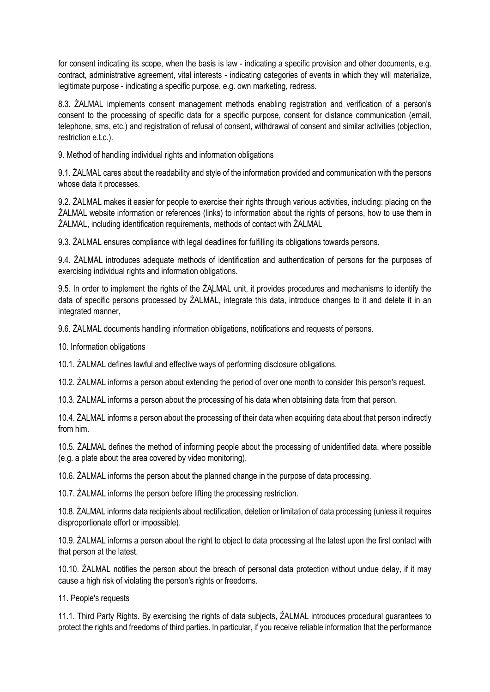for consent indicating its scope, when the basis is law - indicating a specific provision and other documents, e.g. contract, administrative agreement, vital interests - indicating categories of events in which they will materialize, legitimate purpose - indicating a specific purpose, e.g. own marketing, redress.

8.3. ŻALMAL implements consent management methods enabling registration and verification of a person's consent to the processing of specific data for a specific purpose, consent for distance communication (email, telephone, sms, etc.) and registration of refusal of consent, withdrawal of consent and similar activities (objection, restriction e.t.c.).

9. Method of handling individual rights and information obligations

9.1. ŻALMAL cares about the readability and style of the information provided and communication with the persons whose data it processes.

9.2. ŻALMAL makes it easier for people to exercise their rights through various activities, including: placing on the ŻALMAL website information or references (links) to information about the rights of persons, how to use them in ŻALMAL, including identification requirements, methods of contact with ŻALMAL

9.3. ŻALMAL ensures compliance with legal deadlines for fulfilling its obligations towards persons.

9.4. ŻALMAL introduces adequate methods of identification and authentication of persons for the purposes of exercising individual rights and information obligations.

9.5. In order to implement the rights of the ŻĄLMAL unit, it provides procedures and mechanisms to identify the data of specific persons processed by ŻALMAL, integrate this data, introduce changes to it and delete it in an integrated manner,

9.6. ŻALMAL documents handling information obligations, notifications and requests of persons.

10. Information obligations

10.1. ŻALMAL defines lawful and effective ways of performing disclosure obligations.

10.2. ŻALMAL informs a person about extending the period of over one month to consider this person's request.

10.3. ŻALMAL informs a person about the processing of his data when obtaining data from that person.

10.4. ŻALMAL informs a person about the processing of their data when acquiring data about that person indirectly from him.

10.5. ŻALMAL defines the method of informing people about the processing of unidentified data, where possible (e.g. a plate about the area covered by video monitoring).

10.6. ŻALMAL informs the person about the planned change in the purpose of data processing.

10.7. ŻALMAL informs the person before lifting the processing restriction.

10.8. ŻALMAL informs data recipients about rectification, deletion or limitation of data processing (unless it requires disproportionate effort or impossible).

10.9. ŻALMAL informs a person about the right to object to data processing at the latest upon the first contact with that person at the latest.

10.10. ŻALMAL notifies the person about the breach of personal data protection without undue delay, if it may cause a high risk of violating the person's rights or freedoms.

11. People's requests

11.1. Third Party Rights. By exercising the rights of data subjects, ŻALMAL introduces procedural guarantees to protect the rights and freedoms of third parties. In particular, if you receive reliable information that the performance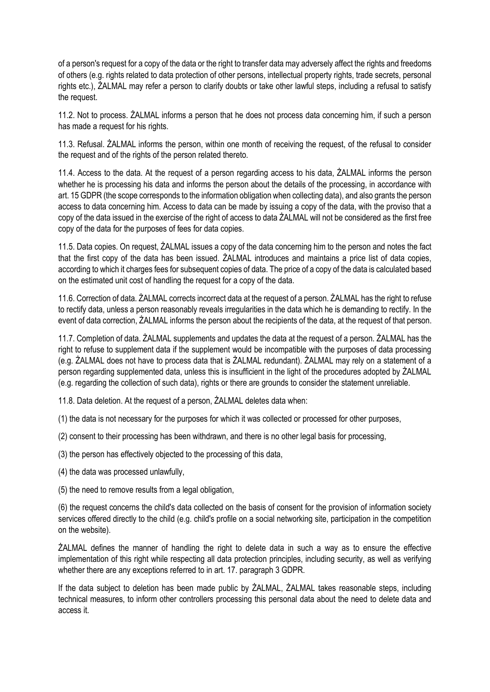of a person's request for a copy of the data or the right to transfer data may adversely affect the rights and freedoms of others (e.g. rights related to data protection of other persons, intellectual property rights, trade secrets, personal rights etc.), ŻALMAL may refer a person to clarify doubts or take other lawful steps, including a refusal to satisfy the request.

11.2. Not to process. ŻALMAL informs a person that he does not process data concerning him, if such a person has made a request for his rights.

11.3. Refusal. ŻALMAL informs the person, within one month of receiving the request, of the refusal to consider the request and of the rights of the person related thereto.

11.4. Access to the data. At the request of a person regarding access to his data, ŻALMAL informs the person whether he is processing his data and informs the person about the details of the processing, in accordance with art. 15 GDPR (the scope corresponds to the information obligation when collecting data), and also grants the person access to data concerning him. Access to data can be made by issuing a copy of the data, with the proviso that a copy of the data issued in the exercise of the right of access to data ŻALMAL will not be considered as the first free copy of the data for the purposes of fees for data copies.

11.5. Data copies. On request, ŻALMAL issues a copy of the data concerning him to the person and notes the fact that the first copy of the data has been issued. ŻALMAL introduces and maintains a price list of data copies, according to which it charges fees for subsequent copies of data. The price of a copy of the data is calculated based on the estimated unit cost of handling the request for a copy of the data.

11.6. Correction of data. ŻALMAL corrects incorrect data at the request of a person. ŻALMAL has the right to refuse to rectify data, unless a person reasonably reveals irregularities in the data which he is demanding to rectify. In the event of data correction, ŻALMAL informs the person about the recipients of the data, at the request of that person.

11.7. Completion of data. ŻALMAL supplements and updates the data at the request of a person. ŻALMAL has the right to refuse to supplement data if the supplement would be incompatible with the purposes of data processing (e.g. ŻALMAL does not have to process data that is ŻALMAL redundant). ŻALMAL may rely on a statement of a person regarding supplemented data, unless this is insufficient in the light of the procedures adopted by ŻALMAL (e.g. regarding the collection of such data), rights or there are grounds to consider the statement unreliable.

11.8. Data deletion. At the request of a person, ŻALMAL deletes data when:

(1) the data is not necessary for the purposes for which it was collected or processed for other purposes,

(2) consent to their processing has been withdrawn, and there is no other legal basis for processing,

(3) the person has effectively objected to the processing of this data,

(4) the data was processed unlawfully,

(5) the need to remove results from a legal obligation,

(6) the request concerns the child's data collected on the basis of consent for the provision of information society services offered directly to the child (e.g. child's profile on a social networking site, participation in the competition on the website).

ŻALMAL defines the manner of handling the right to delete data in such a way as to ensure the effective implementation of this right while respecting all data protection principles, including security, as well as verifying whether there are any exceptions referred to in art. 17. paragraph 3 GDPR.

If the data subject to deletion has been made public by ŻALMAL, ŻALMAL takes reasonable steps, including technical measures, to inform other controllers processing this personal data about the need to delete data and access it.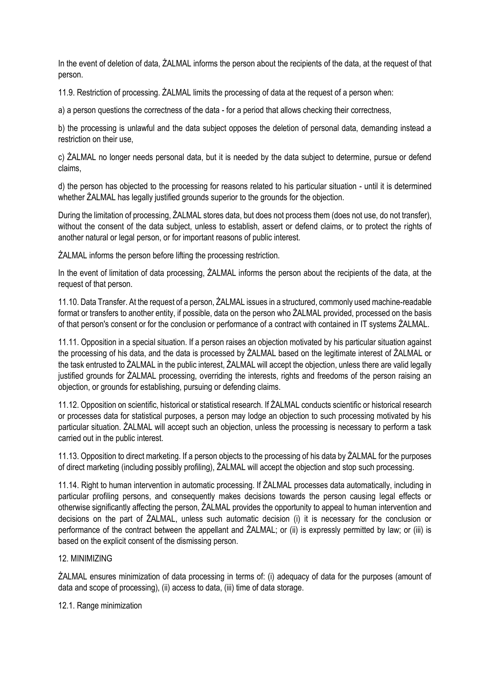In the event of deletion of data, ŻALMAL informs the person about the recipients of the data, at the request of that person.

11.9. Restriction of processing. ŻALMAL limits the processing of data at the request of a person when:

a) a person questions the correctness of the data - for a period that allows checking their correctness,

b) the processing is unlawful and the data subject opposes the deletion of personal data, demanding instead a restriction on their use,

c) ŻALMAL no longer needs personal data, but it is needed by the data subject to determine, pursue or defend claims,

d) the person has objected to the processing for reasons related to his particular situation - until it is determined whether  $\overline{Z}$ ALMAL has legally justified grounds superior to the grounds for the objection.

During the limitation of processing, ŻALMAL stores data, but does not process them (does not use, do not transfer), without the consent of the data subject, unless to establish, assert or defend claims, or to protect the rights of another natural or legal person, or for important reasons of public interest.

ŻALMAL informs the person before lifting the processing restriction.

In the event of limitation of data processing,  $ZALMAL$  informs the person about the recipients of the data, at the request of that person.

11.10. Data Transfer. At the request of a person, ŻALMAL issues in a structured, commonly used machine-readable format or transfers to another entity, if possible, data on the person who ŻALMAL provided, processed on the basis of that person's consent or for the conclusion or performance of a contract with contained in IT systems ŻALMAL.

11.11. Opposition in a special situation. If a person raises an objection motivated by his particular situation against the processing of his data, and the data is processed by ŻALMAL based on the legitimate interest of ŻALMAL or the task entrusted to ŻALMAL in the public interest, ŻALMAL will accept the objection, unless there are valid legally justified grounds for ŻALMAL processing, overriding the interests, rights and freedoms of the person raising an objection, or grounds for establishing, pursuing or defending claims.

11.12. Opposition on scientific, historical or statistical research. If ŻALMAL conducts scientific or historical research or processes data for statistical purposes, a person may lodge an objection to such processing motivated by his particular situation. ŻALMAL will accept such an objection, unless the processing is necessary to perform a task carried out in the public interest.

11.13. Opposition to direct marketing. If a person objects to the processing of his data by ŻALMAL for the purposes of direct marketing (including possibly profiling), ŻALMAL will accept the objection and stop such processing.

11.14. Right to human intervention in automatic processing. If ŻALMAL processes data automatically, including in particular profiling persons, and consequently makes decisions towards the person causing legal effects or otherwise significantly affecting the person, ŻALMAL provides the opportunity to appeal to human intervention and decisions on the part of ŻALMAL, unless such automatic decision (i) it is necessary for the conclusion or performance of the contract between the appellant and ŻALMAL; or (ii) is expressly permitted by law; or (iii) is based on the explicit consent of the dismissing person.

## 12. MINIMIZING

ŻALMAL ensures minimization of data processing in terms of: (i) adequacy of data for the purposes (amount of data and scope of processing), (ii) access to data, (iii) time of data storage.

12.1. Range minimization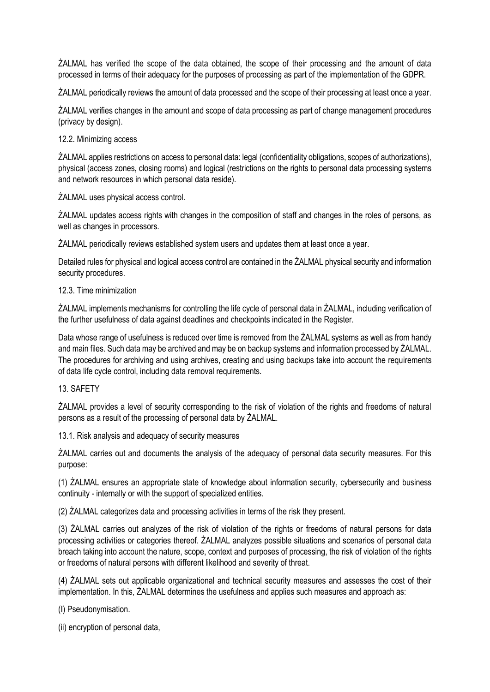ŻALMAL has verified the scope of the data obtained, the scope of their processing and the amount of data processed in terms of their adequacy for the purposes of processing as part of the implementation of the GDPR.

ŻALMAL periodically reviews the amount of data processed and the scope of their processing at least once a year.

ŻALMAL verifies changes in the amount and scope of data processing as part of change management procedures (privacy by design).

#### 12.2. Minimizing access

ŻALMAL applies restrictions on access to personal data: legal (confidentiality obligations, scopes of authorizations), physical (access zones, closing rooms) and logical (restrictions on the rights to personal data processing systems and network resources in which personal data reside).

ŻALMAL uses physical access control.

ŻALMAL updates access rights with changes in the composition of staff and changes in the roles of persons, as well as changes in processors.

ŻALMAL periodically reviews established system users and updates them at least once a year.

Detailed rules for physical and logical access control are contained in the ŻALMAL physical security and information security procedures.

### 12.3. Time minimization

ŻALMAL implements mechanisms for controlling the life cycle of personal data in ŻALMAL, including verification of the further usefulness of data against deadlines and checkpoints indicated in the Register.

Data whose range of usefulness is reduced over time is removed from the ŻALMAL systems as well as from handy and main files. Such data may be archived and may be on backup systems and information processed by ŻALMAL. The procedures for archiving and using archives, creating and using backups take into account the requirements of data life cycle control, including data removal requirements.

#### 13. SAFETY

ŻALMAL provides a level of security corresponding to the risk of violation of the rights and freedoms of natural persons as a result of the processing of personal data by ŻALMAL.

13.1. Risk analysis and adequacy of security measures

ŻALMAL carries out and documents the analysis of the adequacy of personal data security measures. For this purpose:

(1) ŻALMAL ensures an appropriate state of knowledge about information security, cybersecurity and business continuity - internally or with the support of specialized entities.

(2) ŻALMAL categorizes data and processing activities in terms of the risk they present.

(3) ŻALMAL carries out analyzes of the risk of violation of the rights or freedoms of natural persons for data processing activities or categories thereof. ŻALMAL analyzes possible situations and scenarios of personal data breach taking into account the nature, scope, context and purposes of processing, the risk of violation of the rights or freedoms of natural persons with different likelihood and severity of threat.

(4) ŻALMAL sets out applicable organizational and technical security measures and assesses the cost of their implementation. In this, ŻALMAL determines the usefulness and applies such measures and approach as:

(I) Pseudonymisation.

(ii) encryption of personal data,